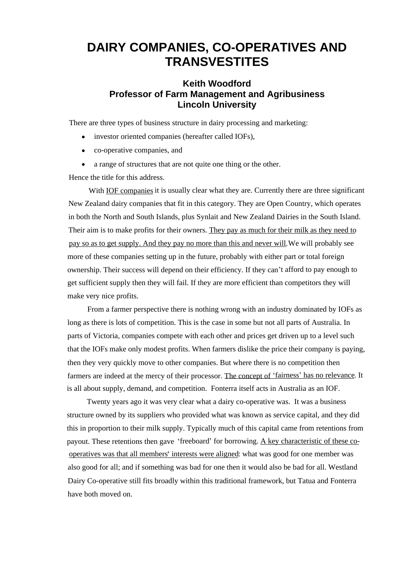## **DAIRY COMPANIES, CO-OPERATIVES AND TRANSVESTITES**

## **Keith Woodford Professor of Farm Management and Agribusiness Lincoln University**

There are three types of business structure in dairy processing and marketing:

- investor oriented companies (hereafter called IOFs), co-operative companies, and
- 
- 

• a range of structures that are not quite one thing or the other.<br>
Hence the title for this address.<br>
With <u>IOF companies</u> it is usually clear what they are. Currently there are three significant New Zealand dairy companies that fit in this category. They are Open Country, which operates in both the North and South Islands, plus Synlait and New Zealand Dairies in the South Island. Their aim is to make profits for their owners. They pay as much for their milk as they need to pay so as to get supply. And they pay no more than this and never will.We will probably see more of these companies setting up in the future, probably with either part or total foreign ownership. Their success will depend on their efficiency. If they can't afford to pay enough to get sufficient supply then they will fail. If they are more efficient than competitors they will make very nice profits.<br>From a farmer perspective there is nothing wrong with an industry dominated by IOFs as

long as there is lots of competition. This is the case in some but not all parts of Australia. In parts of Victoria, companies compete with each other and prices get driven up to a level such that the IOFs make only modest profits. When farmers dislike the price their company is paying, then they very quickly move to other companies. But where there is no competition then farmers are indeed at the mercy of their processor. The concept of 'fairness' has no relevance. It is all about supply, demand, and competition. Fonterra itself acts in Australia as an IOF.

Twenty years ago it was very clear what a dairy co-operative was. It was a business structure owned by its suppliers who provided what was known as service capital, and they did this in proportion to their milk supply. Typically much of this capital came from retentions from payout. These retentions then gave 'freeboard' for borrowing. A key characteristic of these cooperatives was that all members interests were aligned: what was good for one member was also good for all; and if something was bad for one then it would also be bad for all. Westland Dairy Co-operative still fits broadly within this traditional framework, but Tatua and Fonterra have both moved on.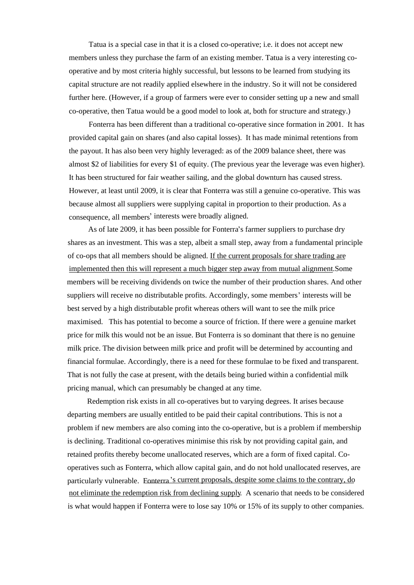Tatua is a special case in that it is a closed co-operative; i.e. it does not accept new members unless they purchase the farm of an existing member. Tatua is a very interesting co operative and by most criteria highly successful, but lessons to be learned from studying its capital structure are not readily applied elsewhere in the industry. So it will not be considered further here. (However, if a group of farmers were ever to consider setting up a new and small co-operative, then Tatua would be a good model to look at, both for structure and strategy.) Fonterra has been different than a traditional co-operative since formation in 2001. It has

provided capital gain on shares (and also capital losses). It has made minimal retentions from the payout. It has also been very highly leveraged: as of the 2009 balance sheet, there was almost \$2 of liabilities for every \$1 of equity. (The previous year the leverage was even higher). It has been structured for fair weather sailing, and the global downturn has caused stress. However, at least until 2009, it is clear that Fonterra was still a genuine co-operative. This was because almost all suppliers were supplying capital in proportion to their production. As a consequence, all members' interests were broadly aligned.

As of late 2009, it has been possible for Fonterra's farmer suppliers to purchase dry shares as an investment. This was a step, albeit a small step, away from a fundamental principle of co-ops that all members should be aligned. If the current proposals for share trading are implemented then this will represent a much bigger step away from mutual alignment.Some members will be receiving dividends on twice the number of their production shares. And other suppliers will receive no distributable profits. Accordingly, some members' interests will be best served by a high distributable profit whereas others will want to see the milk price maximised. This has potential to become a source of friction. If there were a genuine market price for milk this would not be an issue. But Fonterra is so dominant that there is no genuine milk price. The division between milk price and profit will be determined by accounting and financial formulae. Accordingly, there is a need for these formulae to be fixed and transparent. That is not fully the case at present, with the details being buried within a confidential milk pricing manual, which can presumably be changed at any time.

Redemption risk exists in all co-operatives but to varying degrees. It arises because departing members are usually entitled to be paid their capital contributions. This is not a problem if new members are also coming into the co-operative, but is a problem if membership is declining. Traditional co-operatives minimise this risk by not providing capital gain, and retained profits thereby become unallocated reserves, which are a form of fixed capital. Co operatives such as Fonterra, which allow capital gain, and do not hold unallocated reserves, are particularly vulnerable. Fonterra 's current proposals, despite some claims to the contrary, do not eliminate the redemption risk from declining supply. A scenario that needs to be considered is what would happen if Fonterra were to lose say 10% or 15% of its supply to other companies.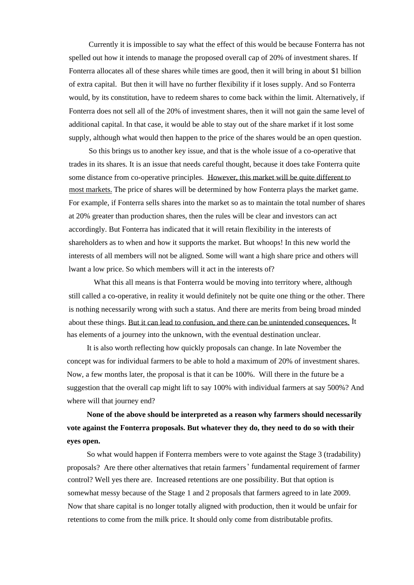Currently it is impossible to say what the effect of this would be because Fonterra has not spelled out how it intends to manage the proposed overall cap of 20% of investment shares. If Fonterra allocates all of these shares while times are good, then it will bring in about \$1 billion of extra capital. But then it will have no further flexibility if it loses supply. And so Fonterra would, by its constitution, have to redeem shares to come back within the limit. Alternatively, if Fonterra does not sell all of the 20% of investment shares, then it will not gain the same level of additional capital. In that case, it would be able to stay out of the share market if it lost some supply, although what would then happen to the price of the shares would be an open question. So this brings us to another key issue, and that is the whole issue of a co-operative that

trades in its shares. It is an issue that needs careful thought, because it does take Fonterra quite some distance from co-operative principles. However, this market will be quite different to most markets. The price of shares will be determined by how Fonterra plays the market game. For example, if Fonterra sells shares into the market so as to maintain the total number of shares at 20% greater than production shares, then the rules will be clear and investors can act accordingly. But Fonterra has indicated that it will retain flexibility in the interests of shareholders as to when and how it supports the market. But whoops! In this new world the interests of all members will not be aligned. Some will want a high share price and others will lwant a low price. So which members will it act in the interests of? What this all means is that Fonterra would be moving into territory where, although

still called a co-operative, in reality it would definitely not be quite one thing or the other. There is nothing necessarily wrong with such a status. And there are merits from being broad minded about these things. But it can lead to confusion, and there can be unintended consequences. It has elements of a journey into the unknown, with the eventual destination unclear.<br>It is also worth reflecting how quickly proposals can change. In late November the

concept was for individual farmers to be able to hold a maximum of 20% of investment shares. Now, a few months later, the proposal is that it can be 100%. Will there in the future be a suggestion that the overall cap might lift to say 100% with individual farmers at say 500%? And where will that journey end?

**None of the above should be interpreted as a reason why farmers should necessarily vote against the Fonterra proposals. But whatever they do, they need to do so with their eyes open.**

So what would happen if Fonterra members were to vote against the Stage 3 (tradability) proposals? Are there other alternatives that retain farmers' fundamental requirement of farmer control? Well yes there are. Increased retentions are one possibility. But that option is somewhat messy because of the Stage 1 and 2 proposals that farmers agreed to in late 2009. Now that share capital is no longer totally aligned with production, then it would be unfair for retentions to come from the milk price. It should only come from distributable profits.